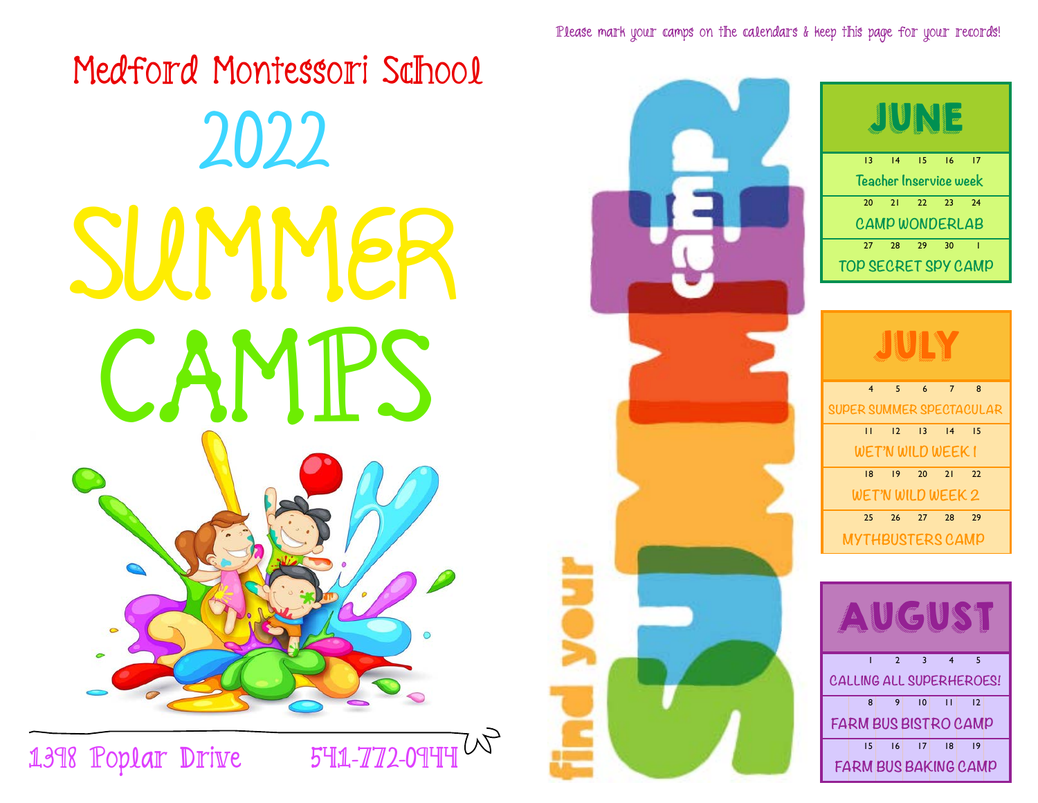

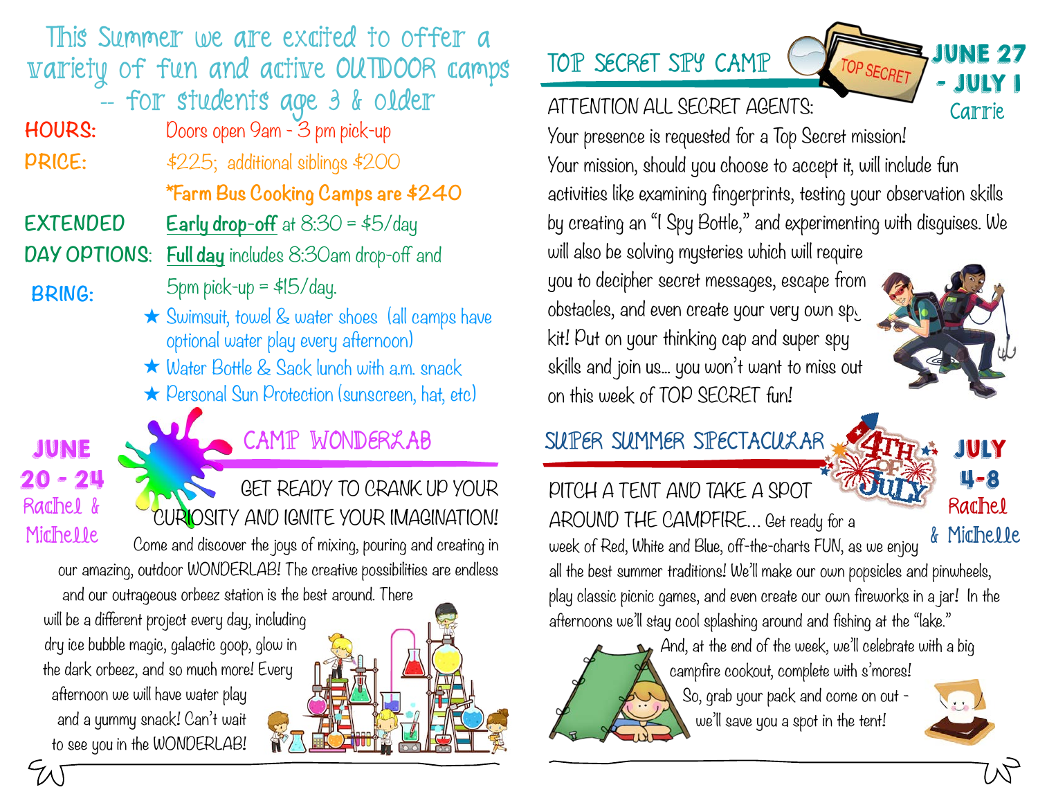This Summer we are excited to offer a variety of fun and active OUTDOOR camps

-- for students age 3 & older

**HOURS:** Doors open 9am - 3 pm pick-up **PRICE:**  $$225;$  additional siblings \$200

 **\*Farm Bus Cooking Camps are \$240**

**EXTENDED** Early drop-off at 8:30 = \$5/day

**DAY OPTIONS**: **Full day** includes 8:30am drop-off and

**BRING:**

- $5$ pm pick-up =  $$15$ /day.
	- ★ Swimsuit, towel & water shoes (all camps have optional water play every afternoon)
	- ★ Water Bottle & Sack lunch with a.m. snack
	- **★** Personal Sun Protection (sunscreen, hat, etc)

 $20 - 21$ Rachel & Michelle

# JUNE SPACE CAMP WONDERLAB

 GET READY TO CRANK UP YOUR CURIOSITY AND IGNITE YOUR IMAGINATION!

Come and discover the joys of mixing, pouring and creating in our amazing, outdoor WONDERLAB! The creative possibilities are endless

and our outrageous orbeez station is the best around. There

will be a different project every day, including dry ice bubble magic, galactic goop, glow in the dark orbeez, and so much more! Every afternoon we will have water play and a yummy snack! Can't wait to see you in the WONDERLAB!

# TOP SECRET SPY CAMP

#### ATTENTION ALL SECRET AGENTS:



Your presence is requested for a Top Secret mission! Your mission, should you choose to accept it, will include fun activities like examining fingerprints, testing your observation skills by creating an "I Spy Bottle," and experimenting with disguises. We will also be solving mysteries which will require you to decipher secret messages, escape from obstacles, and even create your very own spy kit! Put on your thinking cap and super spy skills and join us... you won't want to miss out on this week of TOP SECRET fun!

# SUPER SUMMER SPECTACULAR JULY

PITCH A TENT AND TAKE A SPOT AROUND THE CAMPFIRE… Get ready for a week of Red, White and Blue, off-the-charts FUN, as we enjoy

all the best summer traditions! We'll make our own popsicles and pinwheels, play classic picnic games, and even create our own fireworks in a jar! In the afternoons we'll stay cool splashing around and fishing at the "lake."

And, at the end of the week, we'll celebrate with a big campfire cookout, complete with s'mores! So, grab your pack and come on out we'll save you a spot in the tent!



4-8

Rachel

& Michelle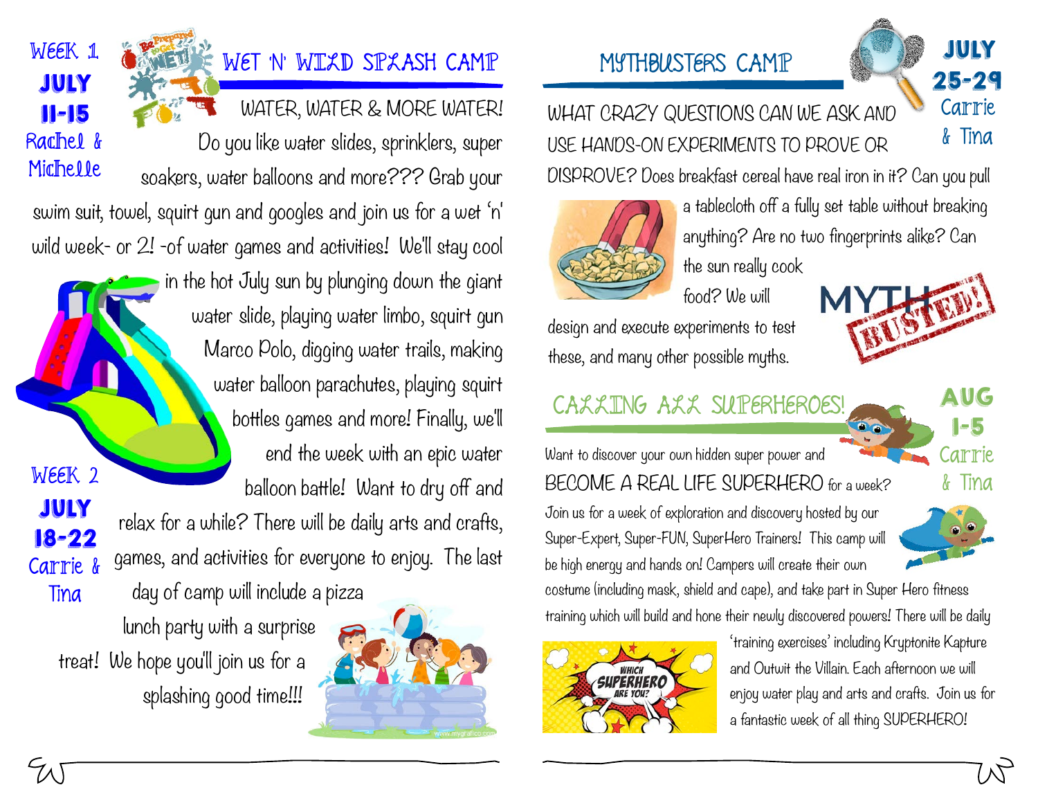# WET 'N' WILLD SPLASH CAMP

WATER, WATER & MORE WATER! Do you like water slides, sprinklers, super

soakers, water balloons and more??? Grab your

swim suit, towel, squirt gun and googles and join us for a wet 'n' wild week- or 2! -of water games and activities! We'll stay cool

> in the hot July sun by plunging down the giant water slide, playing water limbo, squirt gun Marco Polo, digging water trails, making water balloon parachutes, playing squirt bottles games and more! Finally, we'll end the week with an epic water balloon battle! Want to dry off and relax for a while? There will be daily arts and crafts, games, and activities for everyone to enjoy. The last

day of camp will include a pizza lunch party with a surprise treat! We hope you'll join us for a splashing good time!!! Tina



# MYTHBUSTERS CAMP JULY



WHAT CRAZY QUESTIONS CAN WE ASK AND USE HANDS-ON EXPERIMENTS TO PROVE OR

DISPROVE? Does breakfast cereal have real iron in it? Can you pull



a tablecloth off a fully set table without breaking anything? Are no two fingerprints alike? Can the sun really cook

food? We will

design and execute experiments to test these, and many other possible myths.

# CALLING ALL SUPERHEROES! AUG

Want to discover your own hidden super power and BECOME A REAL LIFE SUPERHERO for a week? Join us for a week of exploration and discovery hosted by our Super-Expert, Super-FUN, SuperHero Trainers! This camp will be high energy and hands on! Campers will create their own

& Tina



1-5

Carrie

costume (including mask, shield and cape), and take part in Super Hero fitness training which will build and hone their newly discovered powers! There will be daily



'training exercises' including Kryptonite Kapture and Outwit the Villain. Each afternoon we will enjoy water play and arts and crafts. Join us for a fantastic week of all thing SUPERHERO!



WEEK 1

JULY

11-15

Rachel &

Michelle

WEEK 2

JULY

18-22

Carrie &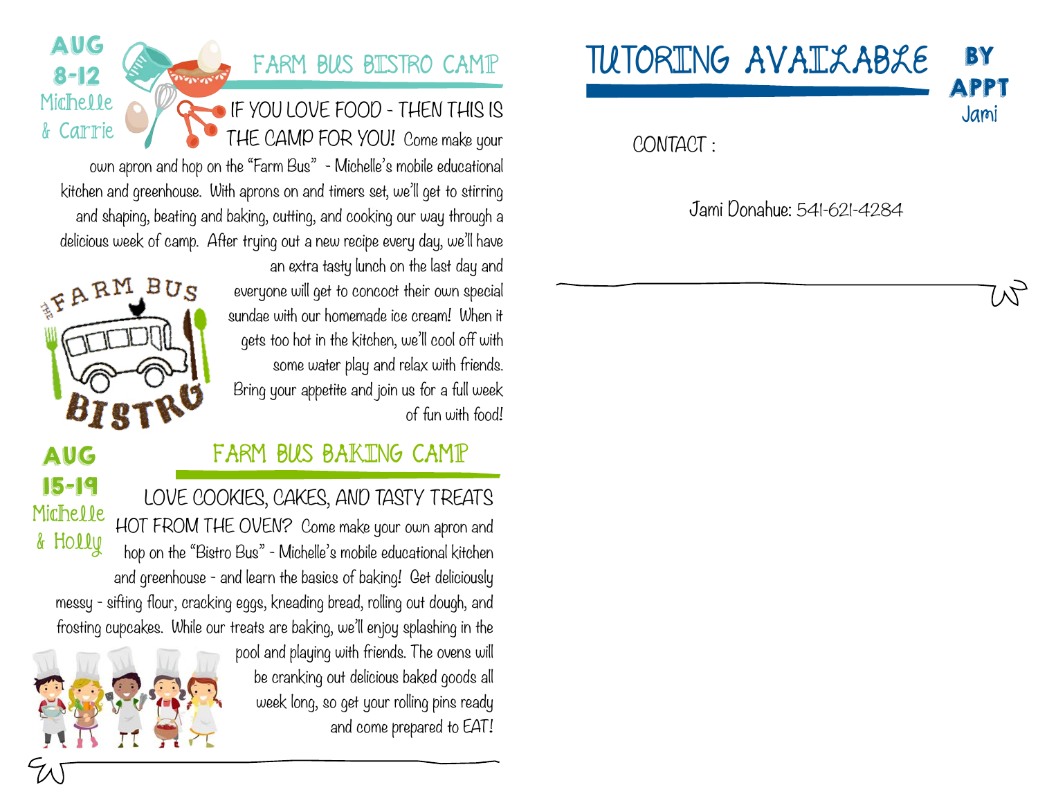TUTORING AVAILABLE

APPT Jami

**BY** 

CONTACT :

Jami Donahue: 541-621-4284

# FARM BUS BISTRO CAMP

IF YOU LOVE FOOD - THEN THIS IS THE CAMP FOR YOU! Come make your

own apron and hop on the "Farm Bus" - Michelle's mobile educational kitchen and greenhouse. With aprons on and timers set, we'll get to stirring and shaping, beating and baking, cutting, and cooking our way through a delicious week of camp. After trying out a new recipe every day, we'll have an extra tasty lunch on the last day and

> everyone will get to concoct their own special sundae with our homemade ice cream! When it gets too hot in the kitchen, we'll cool off with some water play and relax with friends. Bring your appetite and join us for a full week of fun with food!



AUG

8-12

Michelle

& Carrie

AUG

# FARM BUS BAKING CAMP

LOVE COOKIES, CAKES, AND TASTY TREATS HOT FROM THE OVEN? Come make your own apron and hop on the "Bistro Bus" - Michelle's mobile educational kitchen and greenhouse - and learn the basics of baking! Get deliciously messy - sifting flour, cracking eggs, kneading bread, rolling out dough, and frosting cupcakes. While our treats are baking, we'll enjoy splashing in the 15-19 Michelle & Holly

> pool and playing with friends. The ovens will be cranking out delicious baked goods all week long, so get your rolling pins ready and come prepared to EAT!

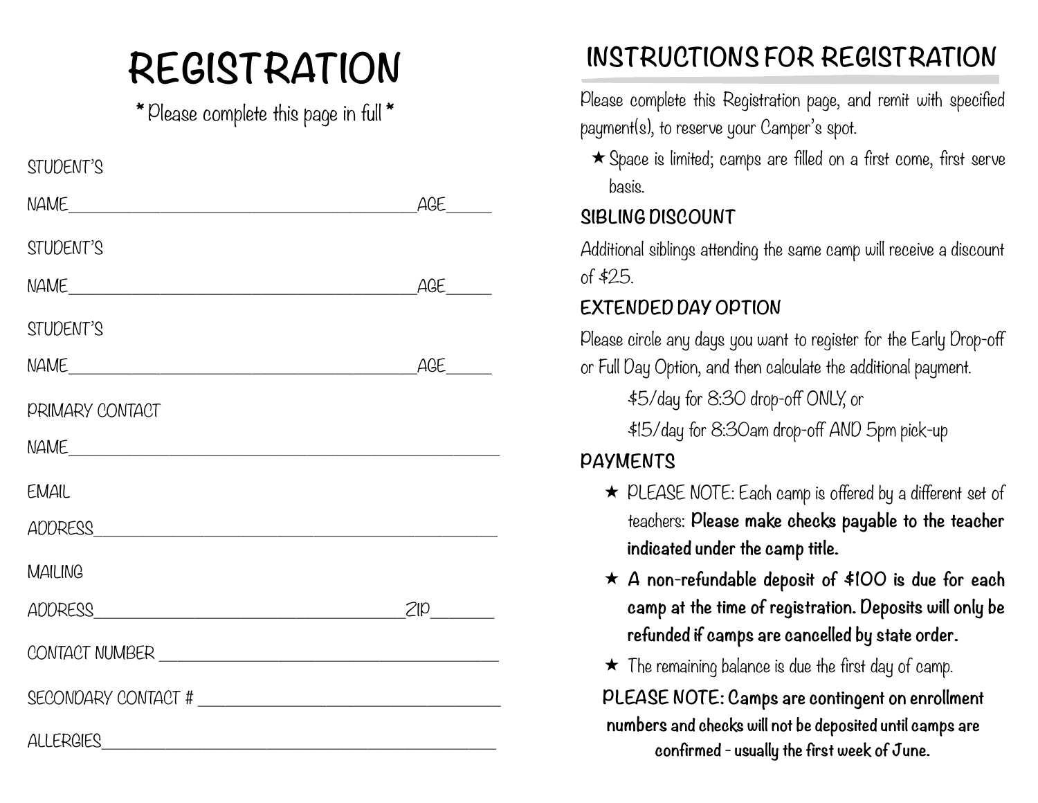\* Please complete this page in full \*

| STUDENT'S                                                                                                                                                                                                                      |     |
|--------------------------------------------------------------------------------------------------------------------------------------------------------------------------------------------------------------------------------|-----|
|                                                                                                                                                                                                                                | AGE |
| STUDENT'S                                                                                                                                                                                                                      |     |
| NAME                                                                                                                                                                                                                           | AGE |
| STUDENT'S                                                                                                                                                                                                                      |     |
| NAME                                                                                                                                                                                                                           | AGE |
| <b>PRIMARY CONTACT</b>                                                                                                                                                                                                         |     |
|                                                                                                                                                                                                                                |     |
| EMAIL                                                                                                                                                                                                                          |     |
| ADDRESS ADDRESS                                                                                                                                                                                                                |     |
| <b>MAILING</b>                                                                                                                                                                                                                 |     |
|                                                                                                                                                                                                                                | ZIP |
|                                                                                                                                                                                                                                |     |
| SECONDARY CONTACT # The Contract of the Contract of the Contract of the Contract of the Contract of the Contract of the Contract of the Contract of the Contract of the Contract of the Contract of the Contract of the Contra |     |
| ALLERGIES                                                                                                                                                                                                                      |     |

# **INSTRUCTIONS FOR REGISTRATION REGISTRATION**

Please complete this Registration page, and remit with specified payment(s), to reserve your Camper's spot.

★ Space is limited; camps are filled on a first come, first serve basis.

#### **SIBLING DISCOUNT**

Additional siblings attending the same camp will receive a discount of \$25.

#### **EXTENDED DAY OPTION**

Please circle any days you want to register for the Early Drop-off or Full Day Option, and then calculate the additional payment.

\$5/day for 8:30 drop-off ONLY, or

\$15/day for 8:30am drop-off AND 5pm pick-up

#### **PAYMENTS**

- ★ PLEASE NOTE: Each camp is offered by a different set of teachers: **Please make checks payable to the teacher indicated under the camp title.**
- ★ **A non-refundable deposit of \$100 is due for each camp at the time of registration. Deposits will only be refunded if camps are cancelled by state order.**
- $\star$  The remaining balance is due the first day of camp.

**PLEASE NOTE: Camps are contingent on enrollment numbers and checks will not be deposited until camps are confirmed - usually the first week of June.**